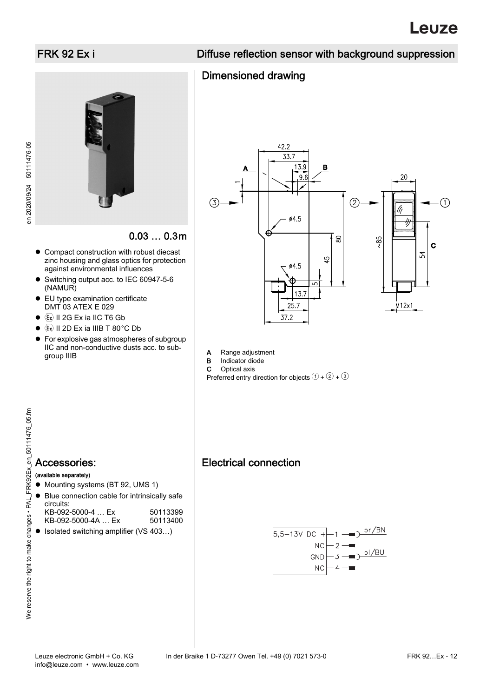## FRK 92 Ex i Diffuse reflection sensor with background suppression

en 2020/09/24 50111476-05

en 2020/09/24 50111476-05

0.03 … 0.3m

- Compact construction with robust diecast zinc housing and glass optics for protection against environmental influences
- Switching output acc. to IEC 60947-5-6 (NAMUR)
- EU type examination certificate DMT 03 ATEX E 029
- $\bullet$   $\langle \overline{\epsilon_x} \rangle$  II 2G Ex ia IIC T6 Gb
- $\bullet$   $\langle \overline{\epsilon_x} \rangle$  II 2D Ex ia IIIB T 80°C Db
- **•** For explosive gas atmospheres of subgroup IIC and non-conductive dusts acc. to subgroup IIIB



- **A** Range adjustment<br>**B** Indicator diode
- Indicator diode
- C Optical axis

Electrical connection

Dimensioned drawing

Preferred entry direction for objects  $(1 + 2) + 3$ 

### Accessories:

#### (available separately)

- $\bullet$  Mounting systems (BT 92, UMS 1)
- Blue connection cable for intrinsically safe circuits:

| $KB-092-5000-4$ Ex | 50113399 |
|--------------------|----------|
| KB-092-5000-4A  Ex | 50113400 |

● Isolated switching amplifier (VS 403...)

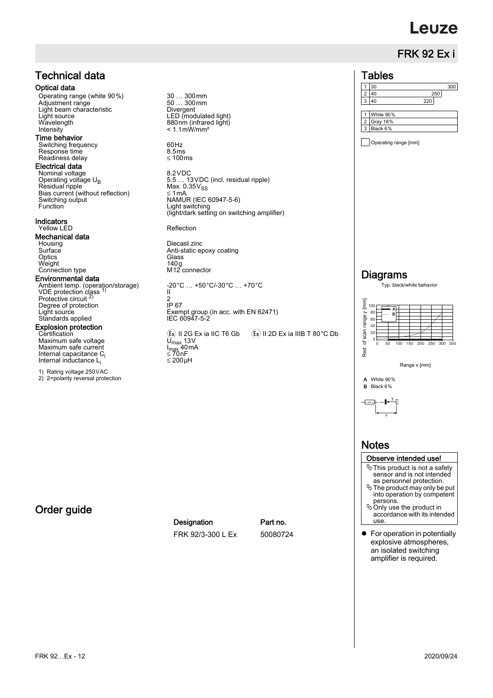# **euze**

## FRK 92 Ex i

#### **Tables**

|                | 30              | 300 |
|----------------|-----------------|-----|
| 2              | 40<br>250       |     |
| 3              | 40<br>220       |     |
|                |                 |     |
|                | White 90%       |     |
| $\overline{2}$ | <b>Gray 18%</b> |     |
| 3              | Black 6%        |     |

Operating range [mm]

## Diagrams

Typ. black/white behavior



A White 90% B Black 6%

 $+\rightarrow +$  $\cdot$  – L  $\overset{y}{\longleftarrow}$  n x

### **Notes**

- Observe intended use!  $\uparrow$  This product is not a safety sensor and is not intended as personnel protection. The product may only be put into operation by competent persons. Only use the product in accordance with its intended use.
- **•** For operation in potentially explosive atmospheres, an isolated switching amplifier is required.

Operating range (white 90%) 30 … 300mm<br>Adjustment range 50 … 300mm Light beam characteristic and Divergent<br>
Light source LED (mod<br>
Wavelength 880nm (in LED (modulated light) Wavelength 880nm (infrared light) Intensity < 1.1mW/mm²

Switching frequency 60Hz Response time 8.5ms Readiness delay  $\leq 100 \text{ms}$ 

Nominal voltage and a set of the 8.2VDC 8.2VDC<br>5.5 … 13VDC (incl. residual ripple)<br>Max. 0.35V<sub>SS</sub>  $Residual$  ripple  $Max. 0.35V$ <sub>SS</sub> Bias current (without reflection) 1mA Switching output NAMUR (IEC 60947-5-6) Function Light switching output<br>
Function Control of the Unit of the USANUR (IEC 60947-5-6)<br>
Function Light switching (light/dark setting on switching amplifier)

Yellow LED Reflection

Housing Diecast zinc<br>
Surface Anti-static er Anti-static epoxy coating<br>Glass Optics Glass Weight 140g Process<br>
Weight<br>
Connection type M12 connector

Ambient temp. (operation/storage) -20°C … +50°C/-30°C … +70°C<br>VDE protection class <sup>1)</sup> II II

Protective circuit <sup>2)</sup> 2<br>
Degree of protection 1967  $2$ <br>IP 67 Light source<br>
Light source<br>
Standards applied<br>
EC 60947-5-2

Certification II 2G Ex ia IIC T6 Gb II 2D Ex ia IIIB T 80°C Db Internal capacitance  $C_i$   $\leq 70 \text{ nF}$ <br>Internal inductance  $C_i$   $\leq 200 \text{ pF}$ 

## Order guide

Technical data

Optical data

Time behavior

Electrical data

Indicators

Mechanical data<br>Housing

Environmental data

Standards applied **Explosion protection**<br>Certification

1) Rating voltage 250VAC

Ueruncation<br>Maximum safe voltage Maximum safe current

Internal inductance L<sub>i</sub>

2) 2=polarity reversal protection

Designation **Part no.** FRK 92/3-300 L Ex 50080724